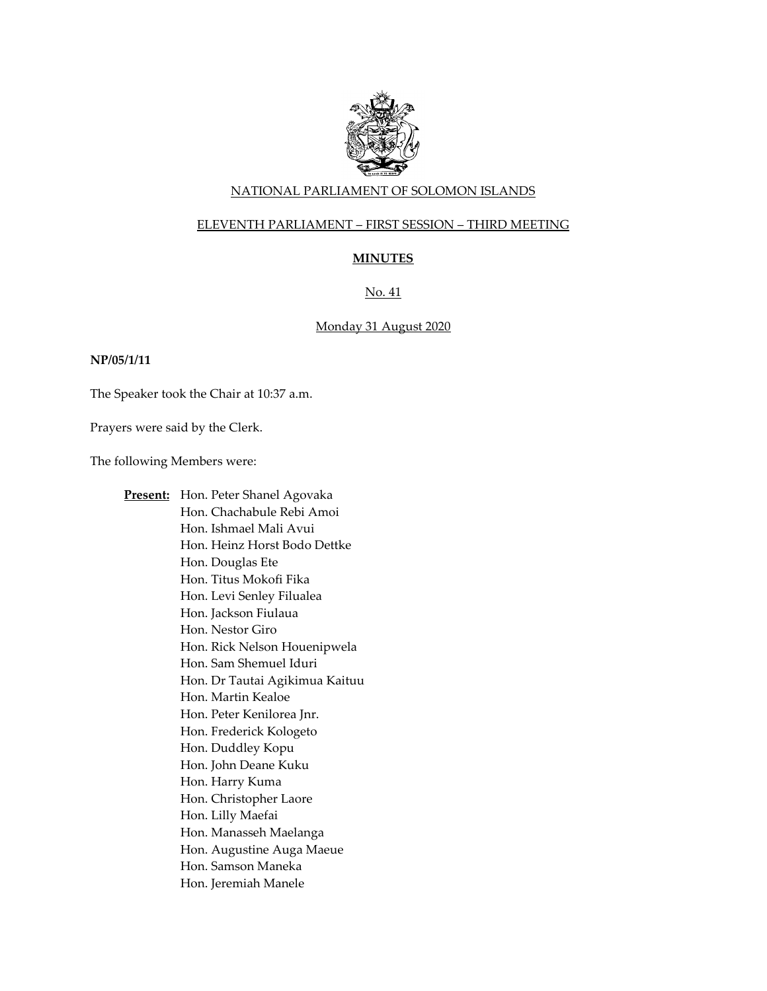

### NATIONAL PARLIAMENT OF SOLOMON ISLANDS

### ELEVENTH PARLIAMENT – FIRST SESSION – THIRD MEETING

# **MINUTES**

# No. 41

### Monday 31 August 2020

#### **NP/05/1/11**

The Speaker took the Chair at 10:37 a.m.

Prayers were said by the Clerk.

The following Members were:

**Present:** Hon. Peter Shanel Agovaka Hon. Chachabule Rebi Amoi Hon. Ishmael Mali Avui Hon. Heinz Horst Bodo Dettke Hon. Douglas Ete Hon. Titus Mokofi Fika Hon. Levi Senley Filualea Hon. Jackson Fiulaua Hon. Nestor Giro Hon. Rick Nelson Houenipwela Hon. Sam Shemuel Iduri Hon. Dr Tautai Agikimua Kaituu Hon. Martin Kealoe Hon. Peter Kenilorea Jnr. Hon. Frederick Kologeto Hon. Duddley Kopu Hon. John Deane Kuku Hon. Harry Kuma Hon. Christopher Laore Hon. Lilly Maefai Hon. Manasseh Maelanga Hon. Augustine Auga Maeue Hon. Samson Maneka Hon. Jeremiah Manele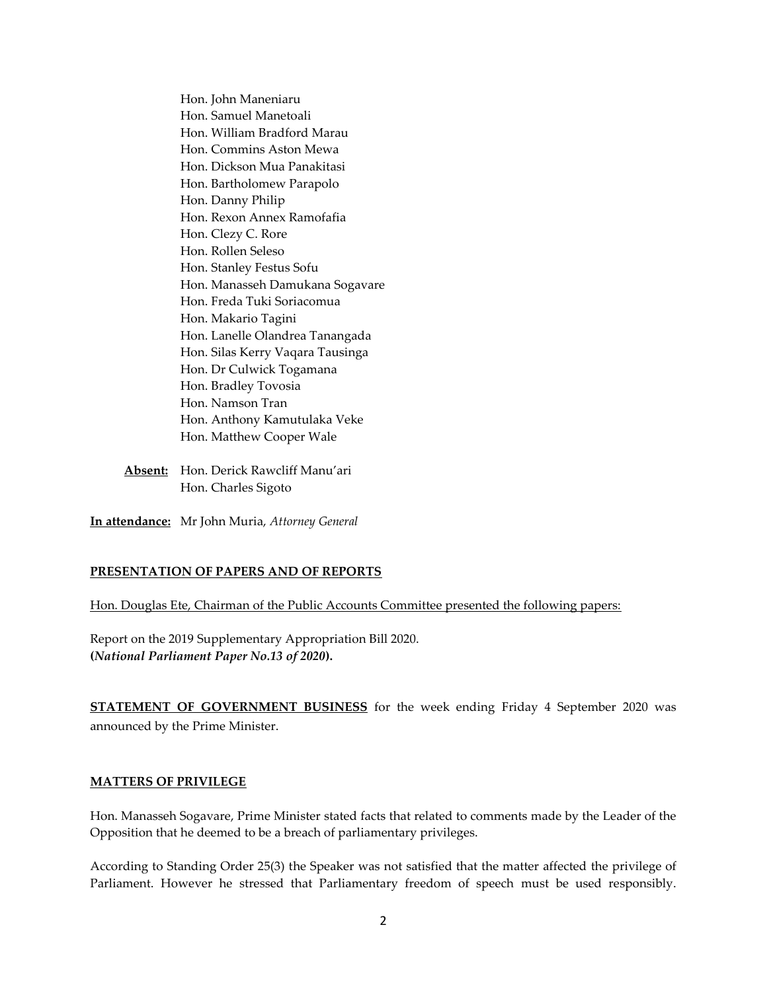Hon. John Maneniaru Hon. Samuel Manetoali Hon. William Bradford Marau Hon. Commins Aston Mewa Hon. Dickson Mua Panakitasi Hon. Bartholomew Parapolo Hon. Danny Philip Hon. Rexon Annex Ramofafia Hon. Clezy C. Rore Hon. Rollen Seleso Hon. Stanley Festus Sofu Hon. Manasseh Damukana Sogavare Hon. Freda Tuki Soriacomua Hon. Makario Tagini Hon. Lanelle Olandrea Tanangada Hon. Silas Kerry Vaqara Tausinga Hon. Dr Culwick Togamana Hon. Bradley Tovosia Hon. Namson Tran Hon. Anthony Kamutulaka Veke Hon. Matthew Cooper Wale

**Absent:** Hon. Derick Rawcliff Manu'ari Hon. Charles Sigoto

**In attendance:** Mr John Muria, *Attorney General* 

### **PRESENTATION OF PAPERS AND OF REPORTS**

Hon. Douglas Ete, Chairman of the Public Accounts Committee presented the following papers:

Report on the 2019 Supplementary Appropriation Bill 2020. **(***National Parliament Paper No.13 of 2020***).** 

**STATEMENT OF GOVERNMENT BUSINESS** for the week ending Friday 4 September 2020 was announced by the Prime Minister.

#### **MATTERS OF PRIVILEGE**

Hon. Manasseh Sogavare, Prime Minister stated facts that related to comments made by the Leader of the Opposition that he deemed to be a breach of parliamentary privileges.

According to Standing Order 25(3) the Speaker was not satisfied that the matter affected the privilege of Parliament. However he stressed that Parliamentary freedom of speech must be used responsibly.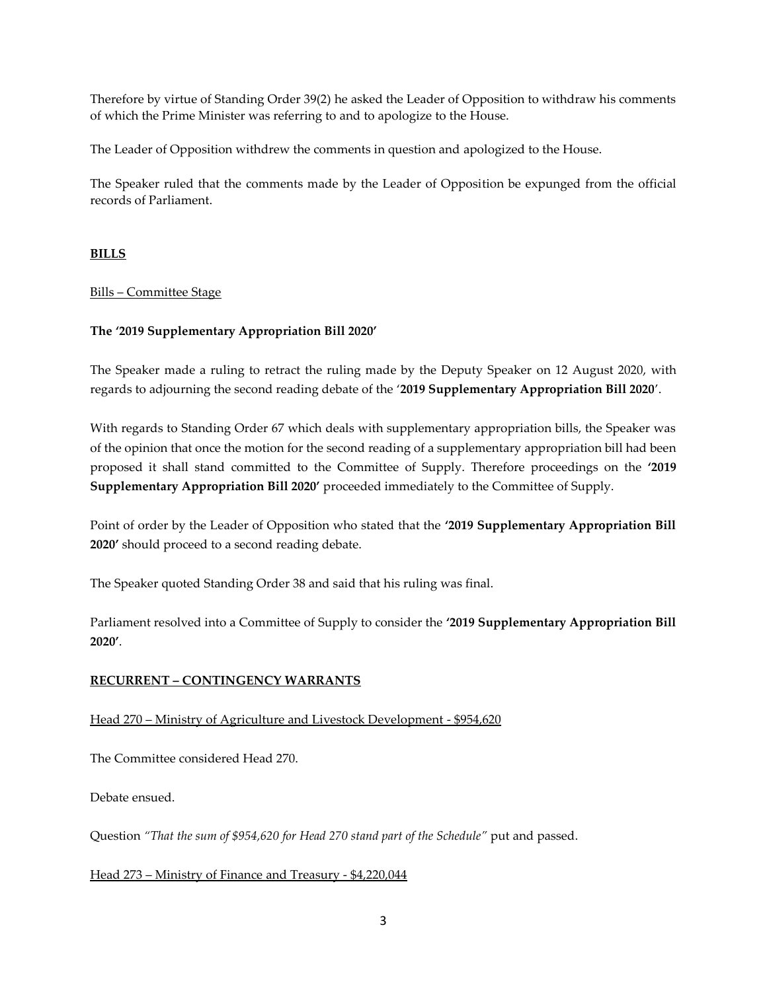Therefore by virtue of Standing Order 39(2) he asked the Leader of Opposition to withdraw his comments of which the Prime Minister was referring to and to apologize to the House.

The Leader of Opposition withdrew the comments in question and apologized to the House.

The Speaker ruled that the comments made by the Leader of Opposition be expunged from the official records of Parliament.

# **BILLS**

# Bills – Committee Stage

# **The '2019 Supplementary Appropriation Bill 2020'**

The Speaker made a ruling to retract the ruling made by the Deputy Speaker on 12 August 2020, with regards to adjourning the second reading debate of the '**2019 Supplementary Appropriation Bill 2020**'.

With regards to Standing Order 67 which deals with supplementary appropriation bills, the Speaker was of the opinion that once the motion for the second reading of a supplementary appropriation bill had been proposed it shall stand committed to the Committee of Supply. Therefore proceedings on the **'2019 Supplementary Appropriation Bill 2020'** proceeded immediately to the Committee of Supply.

Point of order by the Leader of Opposition who stated that the **'2019 Supplementary Appropriation Bill 2020'** should proceed to a second reading debate.

The Speaker quoted Standing Order 38 and said that his ruling was final.

Parliament resolved into a Committee of Supply to consider the **'2019 Supplementary Appropriation Bill 2020'**.

# **RECURRENT – CONTINGENCY WARRANTS**

# Head 270 – Ministry of Agriculture and Livestock Development - \$954,620

The Committee considered Head 270.

Debate ensued.

Question *"That the sum of \$954,620 for Head 270 stand part of the Schedule"* put and passed.

# Head 273 – Ministry of Finance and Treasury - \$4,220,044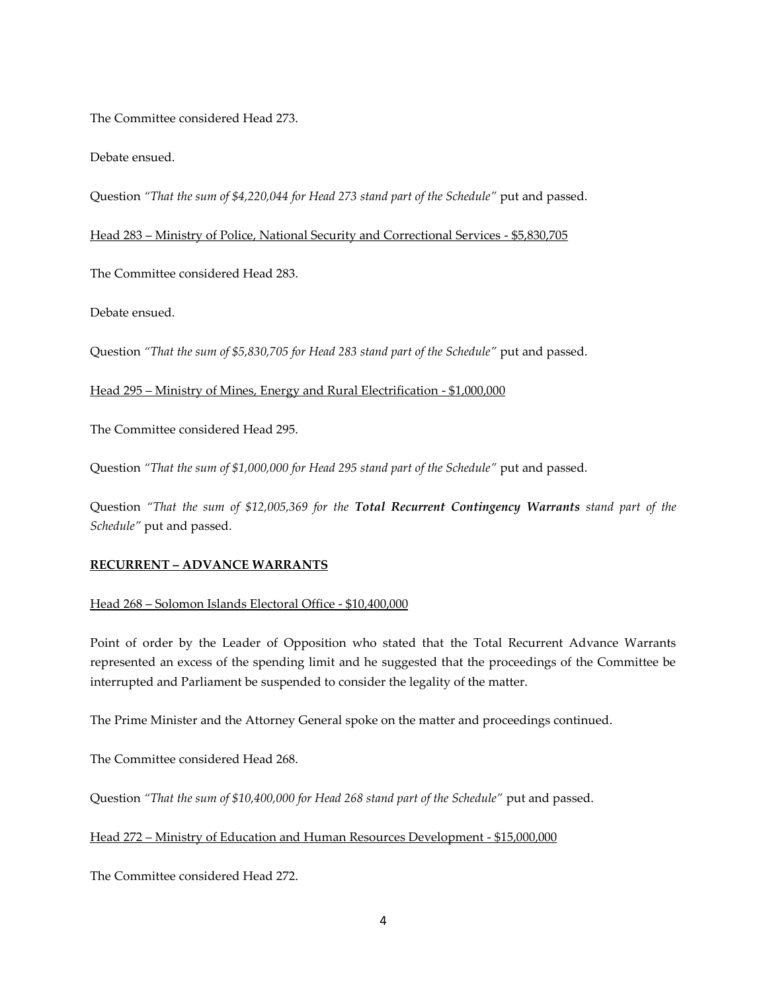The Committee considered Head 273.

Debate ensued.

Question *"That the sum of \$4,220,044 for Head 273 stand part of the Schedule"* put and passed.

Head 283 – Ministry of Police, National Security and Correctional Services - \$5,830,705

The Committee considered Head 283.

Debate ensued.

Question *"That the sum of \$5,830,705 for Head 283 stand part of the Schedule"* put and passed.

Head 295 – Ministry of Mines, Energy and Rural Electrification - \$1,000,000

The Committee considered Head 295.

Question *"That the sum of \$1,000,000 for Head 295 stand part of the Schedule"* put and passed.

Question *"That the sum of \$12,005,369 for the Total Recurrent Contingency Warrants stand part of the Schedule"* put and passed.

# **RECURRENT – ADVANCE WARRANTS**

### Head 268 – Solomon Islands Electoral Office - \$10,400,000

Point of order by the Leader of Opposition who stated that the Total Recurrent Advance Warrants represented an excess of the spending limit and he suggested that the proceedings of the Committee be interrupted and Parliament be suspended to consider the legality of the matter.

The Prime Minister and the Attorney General spoke on the matter and proceedings continued.

The Committee considered Head 268.

Question "That the sum of \$10,400,000 for Head 268 stand part of the Schedule" put and passed.

### Head 272 – Ministry of Education and Human Resources Development - \$15,000,000

The Committee considered Head 272.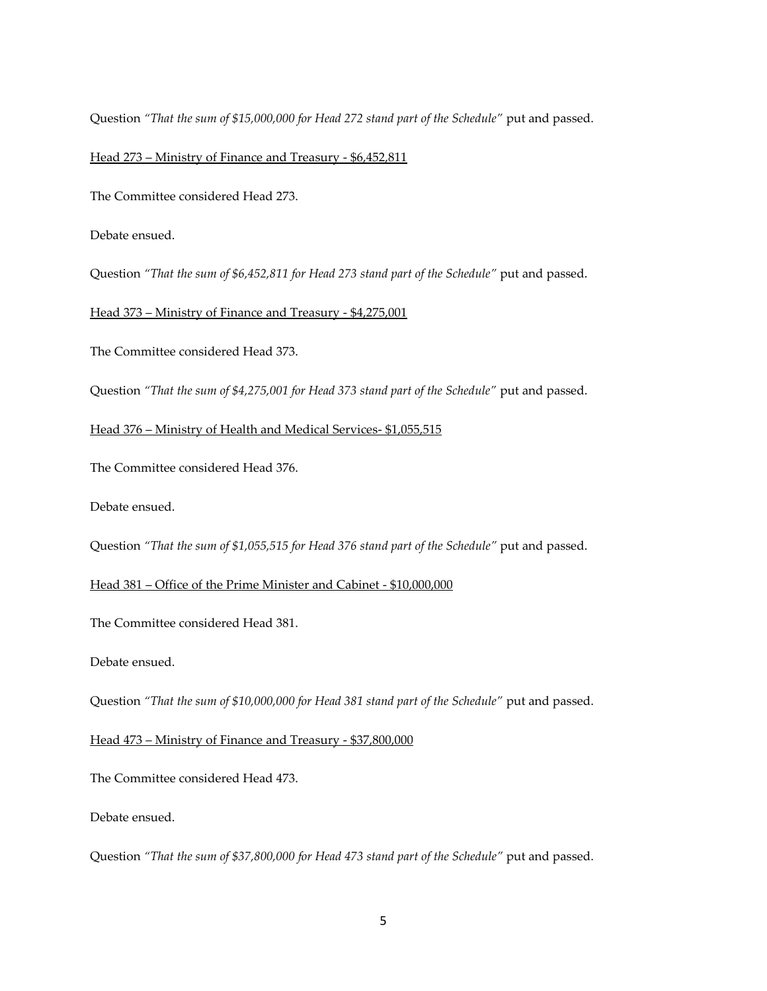Question *"That the sum of \$15,000,000 for Head 272 stand part of the Schedule"* put and passed.

#### Head 273 – Ministry of Finance and Treasury - \$6,452,811

The Committee considered Head 273.

Debate ensued.

Question *"That the sum of \$6,452,811 for Head 273 stand part of the Schedule"* put and passed.

Head 373 – Ministry of Finance and Treasury - \$4,275,001

The Committee considered Head 373.

Question *"That the sum of \$4,275,001 for Head 373 stand part of the Schedule"* put and passed.

#### Head 376 – Ministry of Health and Medical Services- \$1,055,515

The Committee considered Head 376.

Debate ensued.

Question *"That the sum of \$1,055,515 for Head 376 stand part of the Schedule"* put and passed.

Head 381 – Office of the Prime Minister and Cabinet - \$10,000,000

The Committee considered Head 381.

Debate ensued.

Question "That the sum of \$10,000,000 for Head 381 stand part of the Schedule" put and passed.

Head 473 – Ministry of Finance and Treasury - \$37,800,000

The Committee considered Head 473.

Debate ensued.

Question *"That the sum of \$37,800,000 for Head 473 stand part of the Schedule"* put and passed.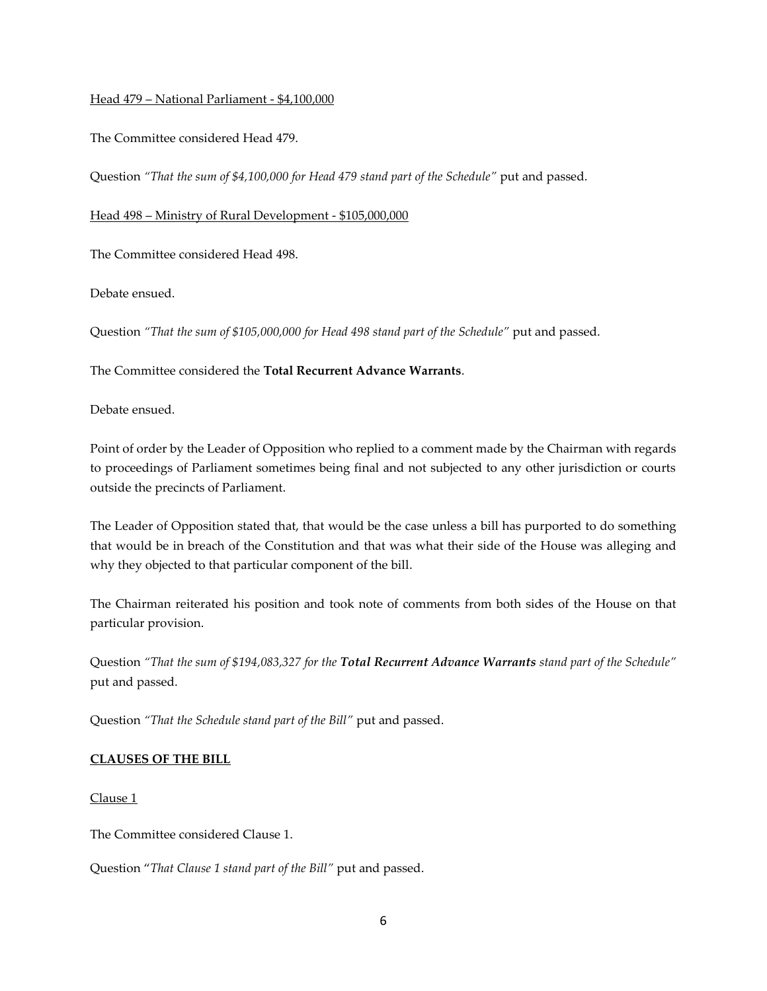### Head 479 – National Parliament - \$4,100,000

The Committee considered Head 479.

Question *"That the sum of \$4,100,000 for Head 479 stand part of the Schedule"* put and passed.

Head 498 – Ministry of Rural Development - \$105,000,000

The Committee considered Head 498.

Debate ensued.

Question *"That the sum of \$105,000,000 for Head 498 stand part of the Schedule"* put and passed.

The Committee considered the **Total Recurrent Advance Warrants**.

Debate ensued.

Point of order by the Leader of Opposition who replied to a comment made by the Chairman with regards to proceedings of Parliament sometimes being final and not subjected to any other jurisdiction or courts outside the precincts of Parliament.

The Leader of Opposition stated that, that would be the case unless a bill has purported to do something that would be in breach of the Constitution and that was what their side of the House was alleging and why they objected to that particular component of the bill.

The Chairman reiterated his position and took note of comments from both sides of the House on that particular provision.

Question *"That the sum of \$194,083,327 for the Total Recurrent Advance Warrants stand part of the Schedule"*  put and passed.

Question *"That the Schedule stand part of the Bill"* put and passed.

# **CLAUSES OF THE BILL**

Clause 1

The Committee considered Clause 1.

Question "*That Clause 1 stand part of the Bill"* put and passed.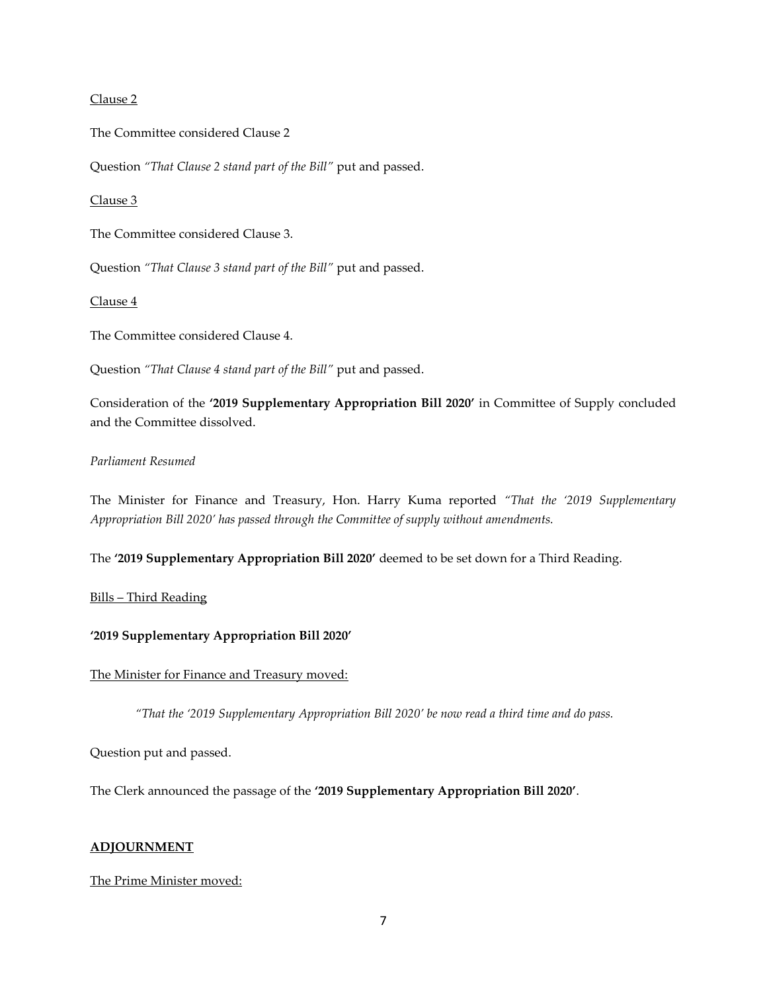#### Clause 2

The Committee considered Clause 2

Question *"That Clause 2 stand part of the Bill"* put and passed.

Clause 3

The Committee considered Clause 3.

Question *"That Clause 3 stand part of the Bill"* put and passed.

Clause 4

The Committee considered Clause 4.

Question *"That Clause 4 stand part of the Bill"* put and passed.

Consideration of the **'2019 Supplementary Appropriation Bill 2020'** in Committee of Supply concluded and the Committee dissolved.

# *Parliament Resumed*

The Minister for Finance and Treasury, Hon. Harry Kuma reported *"That the '2019 Supplementary Appropriation Bill 2020' has passed through the Committee of supply without amendments.*

The **'2019 Supplementary Appropriation Bill 2020'** deemed to be set down for a Third Reading.

### Bills – Third Reading

### **'2019 Supplementary Appropriation Bill 2020'**

#### The Minister for Finance and Treasury moved:

*"That the '2019 Supplementary Appropriation Bill 2020' be now read a third time and do pass.* 

Question put and passed.

The Clerk announced the passage of the **'2019 Supplementary Appropriation Bill 2020'**.

#### **ADJOURNMENT**

The Prime Minister moved: